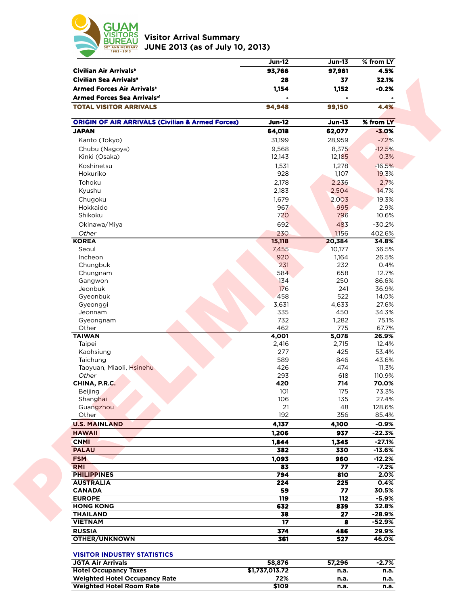

**Visitor Arrival Summary JUNE 2013 (as of July 10, 2013)** 

|                                                                                         | <b>Jun-12</b>    | <b>Jun-13</b>          | % from LY        |
|-----------------------------------------------------------------------------------------|------------------|------------------------|------------------|
| Civilian Air Arrivals <sup>a</sup>                                                      | 93,766           | 97,961                 | 4.5%             |
| Civilian Sea Arrivals <sup>a</sup>                                                      | 28               | 37                     | 32.1%            |
| <b>Armed Forces Air Arrivals<sup>®</sup></b><br>Armed Forces Sea Arrivals <sup>a1</sup> | 1,154            | 1,152                  | $-0.2%$          |
| <b>TOTAL VISITOR ARRIVALS</b>                                                           | 94,948           |                        | 4.4%             |
| <b>ORIGIN OF AIR ARRIVALS (Civilian &amp; Armed Forces)</b>                             | <b>Jun-12</b>    | $J$ un-13              | % from LY        |
| <b>JAPAN</b>                                                                            | 64,018           | 62,077                 | $-3.0%$          |
| Kanto (Tokyo)                                                                           | 31,199           | 28,959                 | $-7.2%$          |
| Chubu (Nagoya)                                                                          | 9,568            | 8,375                  | $-12.5%$         |
| Kinki (Osaka)                                                                           | 12,143           | 12,185                 | 0.3%             |
| Koshinetsu                                                                              | 1,531            | 1,278                  | $-16.5%$         |
| Hokuriko                                                                                | 928              | 1,107                  | 19.3%            |
| Tohoku                                                                                  | 2,178            | 2,236                  | 2.7%             |
| Kyushu                                                                                  | 2,183            | 2,504                  | 14.7%            |
| Chugoku                                                                                 | 1,679            | 2,003                  | 19.3%            |
| Hokkaido                                                                                | 967              | 995                    | 2.9%             |
| Shikoku                                                                                 | 720              | 796                    | 10.6%            |
| Okinawa/Miya                                                                            | 692              | 483                    | $-30.2%$         |
| Other                                                                                   | 230              | 1,156                  | 402.6%           |
| <b>KOREA</b>                                                                            | 15,118           | 20,384                 | 34.8%            |
| Seoul                                                                                   | 7,455            | 10,177                 | 36.5%            |
| Incheon                                                                                 | 920              | 1,164                  | 26.5%            |
| Chungbuk                                                                                | 231              | 232                    | 0.4%             |
| Chungnam                                                                                | 584              | 658                    | 12.7%            |
| Gangwon                                                                                 | 134              | 250                    | 86.6%            |
| Jeonbuk<br>Gyeonbuk                                                                     | 176<br>458       | 241<br>522             | 36.9%<br>14.0%   |
| Gyeonggi                                                                                | 3,631            | 4,633                  | 27.6%            |
| Jeonnam                                                                                 | 335              | 450                    | 34.3%            |
| Gyeongnam                                                                               | 732              | 1,282                  | 75.1%            |
| Other                                                                                   | 462              | 775                    | 67.7%            |
| <b>TAIWAN</b>                                                                           | 4,001            | 5,078                  | 26.9%            |
| Taipei                                                                                  | 2,416            | 2,715                  | 12.4%            |
| Kaohsiung                                                                               | 277              | 425                    | 53.4%            |
| Taichung                                                                                | 589              | 846                    | 43.6%            |
| Taoyuan, Miaoli, Hsinehu                                                                | 426              | 474                    | 11.3%            |
| Other<br>CHINA, P.R.C.                                                                  | 293<br>420       | 618<br>714             | 110.9%           |
| Beijing                                                                                 | 101              | 175                    | 70.0%<br>73.3%   |
| Shanghai                                                                                | 106              | 135                    | 27.4%            |
| Guangzhou                                                                               | 21               | 48                     | 128.6%           |
| Other                                                                                   | 192              | 356                    | 85.4%            |
| <b>U.S. MAINLAND</b>                                                                    | 4,137            | 4,100                  | $-0.9%$          |
| <b>HAWAII</b>                                                                           | 1,206            | 937                    | $-22.3%$         |
| <b>CNMI</b>                                                                             | 1,844            | 1,345                  | $-27.1%$         |
| <b>PALAU</b>                                                                            | 382              | 330                    | $-13.6%$         |
| <b>FSM</b>                                                                              | 1,093            | 960                    | $-12.2%$         |
| <b>RMI</b>                                                                              | 83               | 77                     | $-7.2%$          |
| <b>PHILIPPINES</b>                                                                      | 794              | 810                    | 2.0%             |
| <b>AUSTRALIA</b>                                                                        | 224              | 225                    | 0.4%             |
| <b>CANADA</b><br><b>EUROPE</b>                                                          | 59<br><b>119</b> | $\overline{77}$<br>112 | 30.5%            |
| <b>HONG KONG</b>                                                                        | 632              | 839                    | $-5.9%$<br>32.8% |
| <b>THAILAND</b>                                                                         | 38               | 27                     | $-28.9%$         |
| <b>VIETNAM</b>                                                                          | $\overline{17}$  | 8                      | $-52.9%$         |
| <b>RUSSIA</b>                                                                           | 374              | 486                    | 29.9%            |
| <b>OTHER/UNKNOWN</b>                                                                    | 361              | 527                    | 46.0%            |
|                                                                                         |                  |                        |                  |
| <b>VISITOR INDUSTRY STATISTICS</b><br><b>JGTA Air Arrivals</b>                          | 58,876           | 57,296                 | $-2.7%$          |
| <b>Hotel Occupancy Taxes</b>                                                            | \$1,737,013.72   | n.a.                   | n.a.             |
| <b>Weighted Hotel Occupancy Rate</b>                                                    | 72%              | n.a.                   | n.a.             |
| <b>Weighted Hotel Room Rate</b>                                                         | \$109            | n.a.                   | n.a.             |